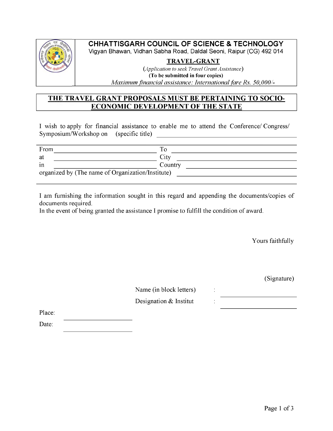

# **CHHATTISGARH COUNCIL OF SCIENCE & TECHNOLOGY**

Vigyan Bhawan, Vidhan Sabha Road, Daldal Seoni, Raipur (CG) 492 014

### **TRAVEL-GRANT**

*(Application to seek Travel Grant Assistance)* **(To be submitted in four copies)** \_\_\_\_\_\_\_\_*Maximum\_ financial assistance: International \_ fare Rs. 50,000/-*

# **THE TRAVEL GRANT PROPOSALS MUST BE PERTAINING TO SOCIO-ECONOMIC DEVELOPMENT OF THE STATE**

I wish to apply for financial assistance to enable me to attend the Conference/ Congress/  $Symposium/Workshop on$  (specific title)

| From                                              |         |  |  |
|---------------------------------------------------|---------|--|--|
| at                                                | City    |  |  |
| $\cdot$<br>1n                                     | Country |  |  |
| organized by (The name of Organization/Institute) |         |  |  |
|                                                   |         |  |  |

I am furnishing the information sought in this regard and appending the documents/copies of documents required.

In the event of being granted the assistance I promise to fulfill the condition of award.

Yours faithfully

(Signature)

Name (in block letters) : Designation  $&$  Institut

Place:

Date: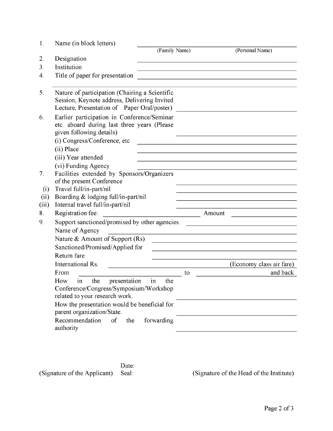| 1.                    | Name (in block letters)                                                                                                                                                   |        |                          |  |
|-----------------------|---------------------------------------------------------------------------------------------------------------------------------------------------------------------------|--------|--------------------------|--|
|                       | (Family Name)                                                                                                                                                             |        | (Personal Name)          |  |
| 2.                    | Designation                                                                                                                                                               |        |                          |  |
| 3.                    | Institution                                                                                                                                                               |        |                          |  |
| $\mathcal{A}_{\cdot}$ | Title of paper for presentation                                                                                                                                           |        |                          |  |
| 5.                    | Nature of participation (Chairing a Scientific<br>Session, Keynote address, Delivering Invited<br>Lecture, Presentation of Paper Oral/poster)                             |        |                          |  |
| 6.                    | Earlier participation in Conference/Seminar<br>etc. aboard during last three years (Please<br>given following details)<br>(i) Congress/Conference, etc                    |        |                          |  |
|                       | (ii) Place                                                                                                                                                                |        |                          |  |
|                       | (iii) Year attended                                                                                                                                                       |        |                          |  |
|                       | (vi) Funding Agency                                                                                                                                                       |        |                          |  |
| 7 <sub>1</sub>        | Facilities extended by Sponsors/Organizers                                                                                                                                |        |                          |  |
|                       | of the present Conference                                                                                                                                                 |        |                          |  |
| (i)                   | Travel full/in-part/nil                                                                                                                                                   |        |                          |  |
| (ii)                  | Boarding & lodging full/in-part/nil                                                                                                                                       |        |                          |  |
| (iii)                 | Internal travel full/in-part/nil                                                                                                                                          |        |                          |  |
| 8.                    | Registration fee:                                                                                                                                                         | Amount |                          |  |
| 9.                    | Support sanctioned/promised by other agencies:                                                                                                                            |        |                          |  |
|                       | Name of Agency                                                                                                                                                            |        |                          |  |
|                       | Nature & Amount of Support (Rs)                                                                                                                                           |        |                          |  |
|                       | Sanctioned/Promised/Applied for                                                                                                                                           |        |                          |  |
|                       | Return fare                                                                                                                                                               |        |                          |  |
|                       | International Rs.                                                                                                                                                         |        | (Economy class air fare) |  |
|                       | From                                                                                                                                                                      | to     | and back                 |  |
|                       | in<br>presentation<br>How<br>the<br>in<br>the<br>Conference/Congress/Symposium/Workshop<br>related to your research work.<br>How the presentation would be beneficial for |        |                          |  |
|                       | parent organization/State.                                                                                                                                                |        |                          |  |
|                       | Recommendation<br><sub>of</sub><br>the<br>forwarding<br>authority                                                                                                         |        |                          |  |

Date:<br>Seal: (Signature of the Applicant) Seal: (Signature of the Head of the Institute)